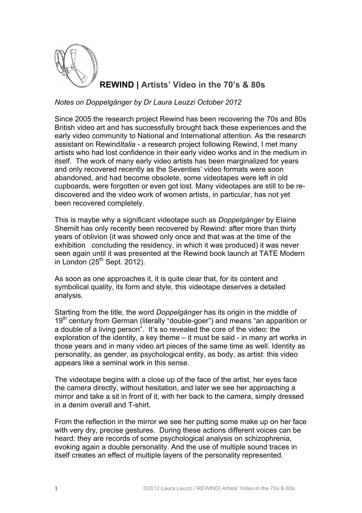

**REWIND | Artists' Video in the 70's & 80s**

## *Notes on Doppelgänger by Dr Laura Leuzzi October 2012*

Since 2005 the research project Rewind has been recovering the 70s and 80s British video art and has successfully brought back these experiences and the early video community to National and International attention. As the research assistant on Rewind*Italia* - a research project following Rewind, I met many artists who had lost confidence in their early video works and in the medium in itself. The work of many early video artists has been marginalized for years and only recovered recently as the Seventies' video formats were soon abandoned, and had become obsolete, some videotapes were left in old cupboards, were forgotten or even got lost. Many videotapes are still to be rediscovered and the video work of women artists, in particular, has not yet been recovered completely.

This is maybe why a significant videotape such as *Doppelgänger* by Elaine Shemilt has only recently been recovered by Rewind: after more than thirty years of oblivion (it was showed only once and that was at the time of the exhibition concluding the residency, in which it was produced) it was never seen again until it was presented at the Rewind book launch at TATE Modern in London  $(25<sup>th</sup>$  Sept. 2012).

As soon as one approaches it, it is quite clear that, for its content and symbolical quality, its form and style, this videotape deserves a detailed analysis.

Starting from the title, the word *Doppelgänger* has its origin in the middle of 19<sup>th</sup> century from German (literally "double-goer") and means "an apparition or a double of a living person". It's so revealed the core of the video: the exploration of the identity, a key theme – it must be said - in many art works in those years and in many video art pieces of the same time as well. Identity as personality, as gender, as psychological entity, as body, as artist: this video appears like a seminal work in this sense.

The videotape begins with a close up of the face of the artist, her eyes face the camera directly, without hesitation, and later we see her approaching a mirror and take a sit in front of it, with her back to the camera, simply dressed in a denim overall and T-shirt.

From the reflection in the mirror we see her putting some make up on her face with very dry, precise gestures. During these actions different voices can be heard: they are records of some psychological analysis on schizophrenia, evoking again a double personality. And the use of multiple sound traces in itself creates an effect of multiple layers of the personality represented.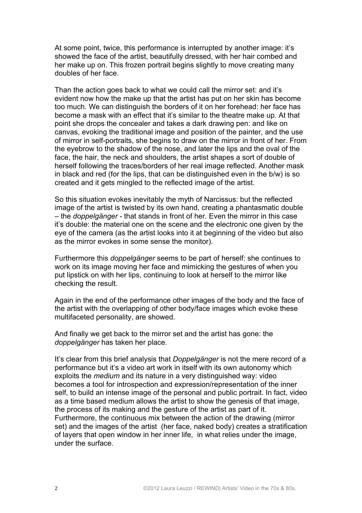At some point, twice, this performance is interrupted by another image: it's showed the face of the artist, beautifully dressed, with her hair combed and her make up on. This frozen portrait begins slightly to move creating many doubles of her face.

Than the action goes back to what we could call the mirror set: and it's evident now how the make up that the artist has put on her skin has become too much. We can distinguish the borders of it on her forehead: her face has become a mask with an effect that it's similar to the theatre make up. At that point she drops the concealer and takes a dark drawing pen: and like on canvas, evoking the traditional image and position of the painter, and the use of mirror in self-portraits, she begins to draw on the mirror in front of her. From the eyebrow to the shadow of the nose, and later the lips and the oval of the face, the hair, the neck and shoulders, the artist shapes a sort of double of herself following the traces/borders of her real image reflected. Another mask in black and red (for the lips, that can be distinguished even in the b/w) is so created and it gets mingled to the reflected image of the artist.

So this situation evokes inevitably the myth of Narcissus: but the reflected image of the artist is twisted by its own hand, creating a phantasmatic double – the *doppelgänger* - that stands in front of her. Even the mirror in this case it's double: the material one on the scene and the electronic one given by the eye of the camera (as the artist looks into it at beginning of the video but also as the mirror evokes in some sense the monitor).

Furthermore this *doppelgänger* seems to be part of herself: she continues to work on its image moving her face and mimicking the gestures of when you put lipstick on with her lips, continuing to look at herself to the mirror like checking the result.

Again in the end of the performance other images of the body and the face of the artist with the overlapping of other body/face images which evoke these multifaceted personality, are showed.

And finally we get back to the mirror set and the artist has gone: the *doppelgänger* has taken her place.

It's clear from this brief analysis that *Doppelgänger* is not the mere record of a performance but it's a video art work in itself with its own autonomy which exploits the *medium* and its nature in a very distinguished way: video becomes a tool for introspection and expression/representation of the inner self, to build an intense image of the personal and public portrait. In fact, video as a time based medium allows the artist to show the genesis of that image, the process of its making and the gesture of the artist as part of it. Furthermore, the continuous mix between the action of the drawing (mirror set) and the images of the artist (her face, naked body) creates a stratification of layers that open window in her inner life, in what relies under the image, under the surface.